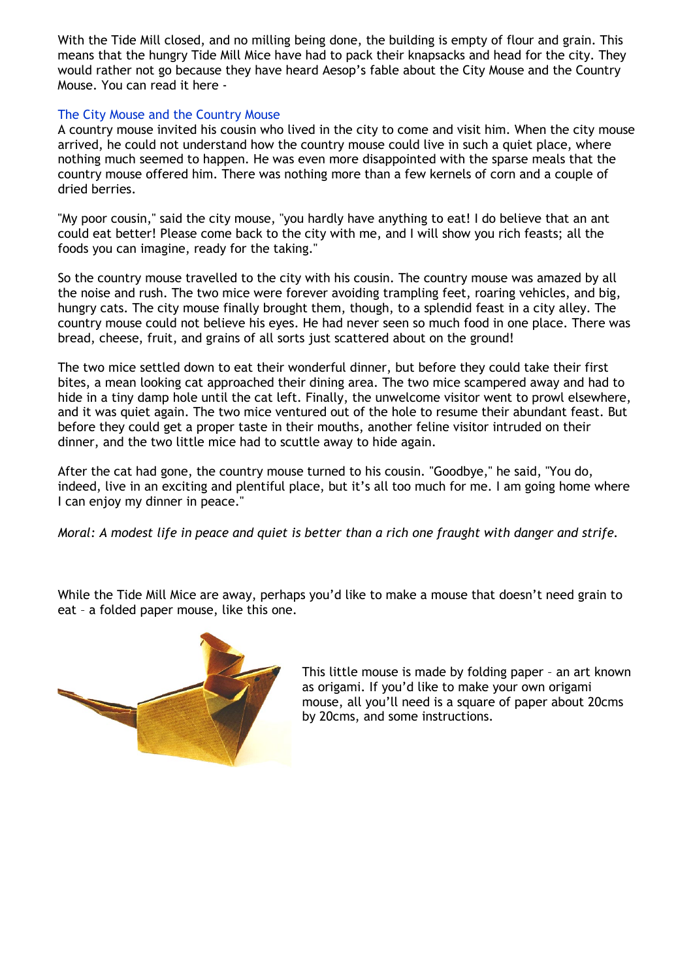With the Tide Mill closed, and no milling being done, the building is empty of flour and grain. This means that the hungry Tide Mill Mice have had to pack their knapsacks and head for the city. They would rather not go because they have heard Aesop's fable about the City Mouse and the Country Mouse. You can read it here -

## The City Mouse and the Country Mouse

A country mouse invited his cousin who lived in the city to come and visit him. When the city mouse arrived, he could not understand how the country mouse could live in such a quiet place, where nothing much seemed to happen. He was even more disappointed with the sparse meals that the country mouse offered him. There was nothing more than a few kernels of corn and a couple of dried berries.

"My poor cousin," said the city mouse, "you hardly have anything to eat! I do believe that an ant could eat better! Please come back to the city with me, and I will show you rich feasts; all the foods you can imagine, ready for the taking."

So the country mouse travelled to the city with his cousin. The country mouse was amazed by all the noise and rush. The two mice were forever avoiding trampling feet, roaring vehicles, and big, hungry cats. The city mouse finally brought them, though, to a splendid feast in a city alley. The country mouse could not believe his eyes. He had never seen so much food in one place. There was bread, cheese, fruit, and grains of all sorts just scattered about on the ground!

The two mice settled down to eat their wonderful dinner, but before they could take their first bites, a mean looking cat approached their dining area. The two mice scampered away and had to hide in a tiny damp hole until the cat left. Finally, the unwelcome visitor went to prowl elsewhere, and it was quiet again. The two mice ventured out of the hole to resume their abundant feast. But before they could get a proper taste in their mouths, another feline visitor intruded on their dinner, and the two little mice had to scuttle away to hide again.

After the cat had gone, the country mouse turned to his cousin. "Goodbye," he said, "You do, indeed, live in an exciting and plentiful place, but it's all too much for me. I am going home where I can enjoy my dinner in peace."

*Moral: A modest life in peace and quiet is better than a rich one fraught with danger and strife.*

While the Tide Mill Mice are away, perhaps you'd like to make a mouse that doesn't need grain to eat – a folded paper mouse, like this one.



This little mouse is made by folding paper – an art known as origami. If you'd like to make your own origami mouse, all you'll need is a square of paper about 20cms by 20cms, and some instructions.